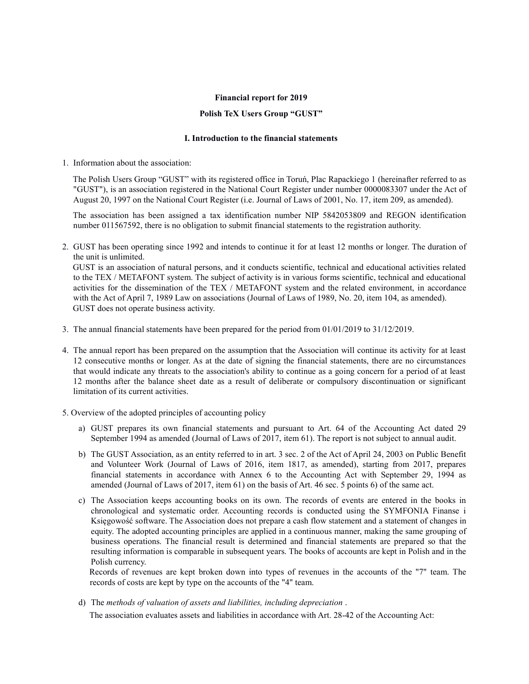#### Financial report for 2019

### Polish TeX Users Group "GUST"

# I. Introduction to the financial statements

1. Information about the association:

The Polish Users Group "GUST" with its registered office in Toruń, Plac Rapackiego 1 (hereinafter referred to as "GUST"), is an association registered in the National Court Register under number 0000083307 under the Act of August 20, 1997 on the National Court Register (i.e. Journal of Laws of 2001, No. 17, item 209, as amended).

The association has been assigned a tax identification number NIP 5842053809 and REGON identification number 011567592, there is no obligation to submit financial statements to the registration authority.

2. GUST has been operating since 1992 and intends to continue it for at least 12 months or longer. The duration of the unit is unlimited.

GUST is an association of natural persons, and it conducts scientific, technical and educational activities related to the TEX / METAFONT system. The subject of activity is in various forms scientific, technical and educational activities for the dissemination of the TEX / METAFONT system and the related environment, in accordance with the Act of April 7, 1989 Law on associations (Journal of Laws of 1989, No. 20, item 104, as amended). GUST does not operate business activity.

- 3. The annual financial statements have been prepared for the period from 01/01/2019 to 31/12/2019.
- 4. The annual report has been prepared on the assumption that the Association will continue its activity for at least 12 consecutive months or longer. As at the date of signing the financial statements, there are no circumstances that would indicate any threats to the association's ability to continue as a going concern for a period of at least 12 months after the balance sheet date as a result of deliberate or compulsory discontinuation or significant limitation of its current activities.
- 5. Overview of the adopted principles of accounting policy
	- a) GUST prepares its own financial statements and pursuant to Art. 64 of the Accounting Act dated 29 September 1994 as amended (Journal of Laws of 2017, item 61). The report is not subject to annual audit.
	- b) The GUST Association, as an entity referred to in art. 3 sec. 2 of the Act of April 24, 2003 on Public Benefit and Volunteer Work (Journal of Laws of 2016, item 1817, as amended), starting from 2017, prepares financial statements in accordance with Annex 6 to the Accounting Act with September 29, 1994 as amended (Journal of Laws of 2017, item 61) on the basis of Art. 46 sec. 5 points 6) of the same act.
	- c) The Association keeps accounting books on its own. The records of events are entered in the books in chronological and systematic order. Accounting records is conducted using the SYMFONIA Finanse i Księgowość software. The Association does not prepare a cash flow statement and a statement of changes in equity. The adopted accounting principles are applied in a continuous manner, making the same grouping of business operations. The financial result is determined and financial statements are prepared so that the resulting information is comparable in subsequent years. The books of accounts are kept in Polish and in the Polish currency.

Records of revenues are kept broken down into types of revenues in the accounts of the "7" team. The records of costs are kept by type on the accounts of the "4" team.

d) The methods of valuation of assets and liabilities, including depreciation .

The association evaluates assets and liabilities in accordance with Art. 28-42 of the Accounting Act: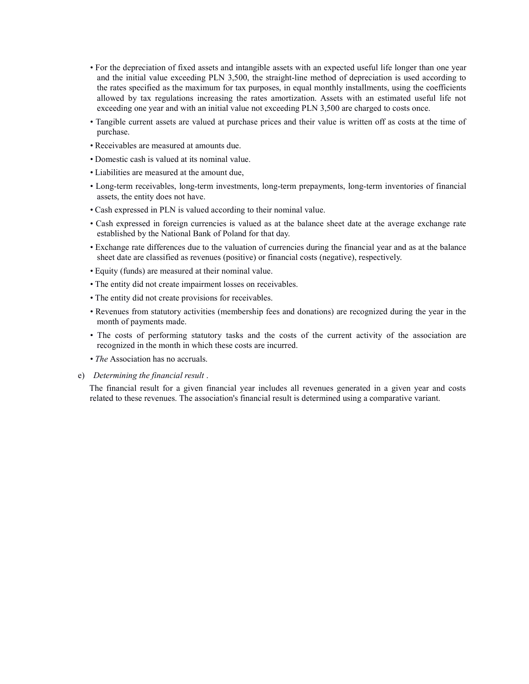- For the depreciation of fixed assets and intangible assets with an expected useful life longer than one year and the initial value exceeding PLN 3,500, the straight-line method of depreciation is used according to the rates specified as the maximum for tax purposes, in equal monthly installments, using the coefficients allowed by tax regulations increasing the rates amortization. Assets with an estimated useful life not exceeding one year and with an initial value not exceeding PLN 3,500 are charged to costs once.
- Tangible current assets are valued at purchase prices and their value is written off as costs at the time of purchase.
- Receivables are measured at amounts due.
- Domestic cash is valued at its nominal value.
- Liabilities are measured at the amount due,
- Long-term receivables, long-term investments, long-term prepayments, long-term inventories of financial assets, the entity does not have.
- Cash expressed in PLN is valued according to their nominal value.
- Cash expressed in foreign currencies is valued as at the balance sheet date at the average exchange rate established by the National Bank of Poland for that day.
- Exchange rate differences due to the valuation of currencies during the financial year and as at the balance sheet date are classified as revenues (positive) or financial costs (negative), respectively.
- Equity (funds) are measured at their nominal value.
- The entity did not create impairment losses on receivables.
- The entity did not create provisions for receivables.
- Revenues from statutory activities (membership fees and donations) are recognized during the year in the month of payments made.
- The costs of performing statutory tasks and the costs of the current activity of the association are recognized in the month in which these costs are incurred.
- *The Association* has no accruals.
- e) Determining the financial result .

The financial result for a given financial year includes all revenues generated in a given year and costs related to these revenues. The association's financial result is determined using a comparative variant.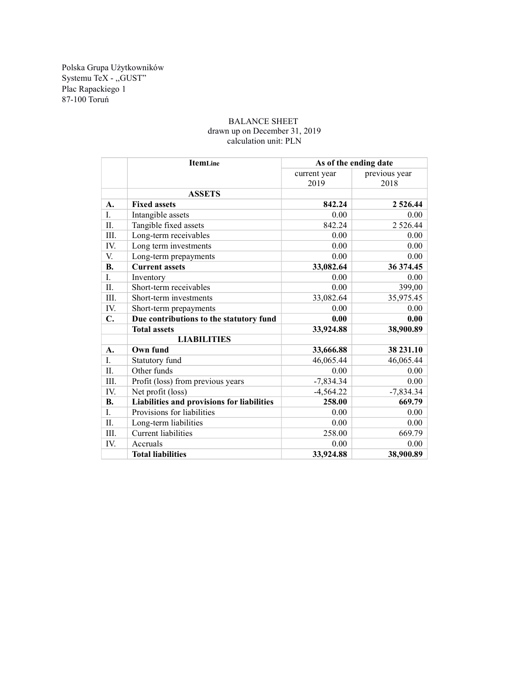Polska Grupa Użytkowników Systemu TeX - ,,GUST" Plac Rapackiego 1 87-100 Toruń

## BALANCE SHEET drawn up on December 31, 2019 calculation unit: PLN

|           | ItemLine                                   | As of the ending date |                       |
|-----------|--------------------------------------------|-----------------------|-----------------------|
|           |                                            | current year<br>2019  | previous year<br>2018 |
|           | <b>ASSETS</b>                              |                       |                       |
| A.        | <b>Fixed assets</b>                        | 842.24                | 2 5 2 6 . 4 4         |
| L.        | Intangible assets                          | 0.00                  | 0.00                  |
| Π.        | Tangible fixed assets                      | 842.24                | 2 5 2 6 . 4 4         |
| III.      | Long-term receivables                      | 0.00                  | 0.00                  |
| IV.       | Long term investments                      | 0.00                  | 0.00                  |
| V.        | Long-term prepayments                      | 0.00                  | 0.00                  |
| <b>B.</b> | <b>Current assets</b>                      | 33,082.64             | 36 374.45             |
| I.        | Inventory                                  | 0.00                  | $0.00\,$              |
| Π.        | Short-term receivables                     | 0.00                  | 399,00                |
| III.      | Short-term investments                     | 33,082.64             | 35,975.45             |
| IV.       | Short-term prepayments                     | 0.00                  | 0.00                  |
| C.        | Due contributions to the statutory fund    | 0.00                  | 0.00                  |
|           | <b>Total assets</b>                        | 33,924.88             | 38,900.89             |
|           | <b>LIABILITIES</b>                         |                       |                       |
| A.        | Own fund                                   | 33,666.88             | 38 231.10             |
| L.        | Statutory fund                             | 46,065.44             | 46,065.44             |
| Π.        | Other funds                                | 0.00                  | 0.00                  |
| III.      | Profit (loss) from previous years          | $-7,834.34$           | 0.00                  |
| IV.       | Net profit (loss)                          | $-4,564.22$           | $-7,834.34$           |
| <b>B.</b> | Liabilities and provisions for liabilities | 258.00                | 669.79                |
| L.        | Provisions for liabilities                 | 0.00                  | 0.00                  |
| $\Pi$ .   | Long-term liabilities                      | 0.00                  | 0.00                  |
| III.      | <b>Current liabilities</b>                 | 258.00                | 669.79                |
| IV.       | Accruals                                   | 0.00                  | 0.00                  |
|           | <b>Total liabilities</b>                   | 33,924.88             | 38,900.89             |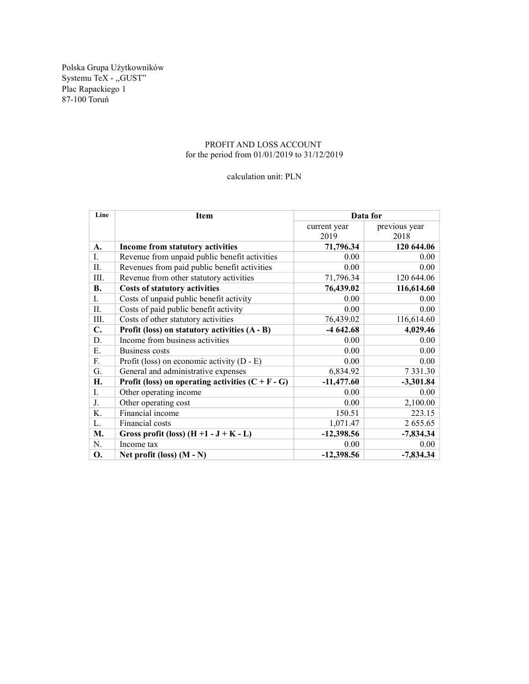Polska Grupa Użytkowników Systemu TeX - ,,GUST" Plac Rapackiego 1 87-100 Toruń

# PROFIT AND LOSS ACCOUNT for the period from 01/01/2019 to 31/12/2019

### calculation unit: PLN

| Line | <b>Item</b>                                         | Data for     |               |
|------|-----------------------------------------------------|--------------|---------------|
|      |                                                     | current year | previous year |
|      |                                                     | 2019         | 2018          |
| A.   | Income from statutory activities                    | 71,796.34    | 120 644.06    |
| I.   | Revenue from unpaid public benefit activities       | 0.00         | 0.00          |
| II.  | Revenues from paid public benefit activities        | 0.00         | 0.00          |
| III. | Revenue from other statutory activities             | 71,796.34    | 120 644.06    |
| В.   | <b>Costs of statutory activities</b>                | 76,439.02    | 116,614.60    |
| I.   | Costs of unpaid public benefit activity             | 0.00         | 0.00          |
| II.  | Costs of paid public benefit activity               | 0.00         | 0.00          |
| III. | Costs of other statutory activities                 | 76,439.02    | 116,614.60    |
| C.   | Profit (loss) on statutory activities (A - B)       | $-4642.68$   | 4,029.46      |
| D.   | Income from business activities                     | 0.00         | 0.00          |
| Ε.   | Business costs                                      | 0.00         | 0.00          |
| F.   | Profit (loss) on economic activity $(D - E)$        | 0.00         | 0.00          |
| G.   | General and administrative expenses                 | 6,834.92     | 7 3 3 1 . 3 0 |
| Н.   | Profit (loss) on operating activities $(C + F - G)$ | $-11,477.60$ | $-3,301.84$   |
| L.   | Other operating income                              | 0.00         | 0.00          |
| J.   | Other operating cost                                | 0.00         | 2,100.00      |
| K.   | Financial income                                    | 150.51       | 223.15        |
| L.   | Financial costs                                     | 1,071.47     | 2 655.65      |
| М.   | Gross profit (loss) $(H + 1 - J + K - L)$           | $-12,398.56$ | $-7,834.34$   |
| N.   | Income tax                                          | 0.00         | 0.00          |
| О.   | Net profit (loss) $(M - N)$                         | $-12,398.56$ | $-7,834.34$   |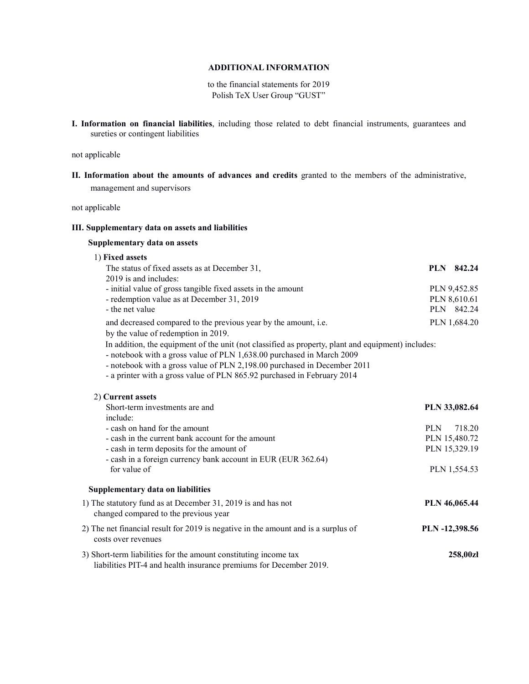# ADDITIONAL INFORMATION

to the financial statements for 2019 Polish TeX User Group "GUST"

I. Information on financial liabilities, including those related to debt financial instruments, guarantees and sureties or contingent liabilities

not applicable

II. Information about the amounts of advances and credits granted to the members of the administrative, management and supervisors

not applicable

#### III. Supplementary data on assets and liabilities

# Supplementary data on assets

| 1) Fixed assets                                                                                                                                                                                                                                                                                                                    |                |               |
|------------------------------------------------------------------------------------------------------------------------------------------------------------------------------------------------------------------------------------------------------------------------------------------------------------------------------------|----------------|---------------|
| The status of fixed assets as at December 31,                                                                                                                                                                                                                                                                                      |                | PLN 842.24    |
| 2019 is and includes:                                                                                                                                                                                                                                                                                                              |                |               |
| - initial value of gross tangible fixed assets in the amount                                                                                                                                                                                                                                                                       |                | PLN 9,452.85  |
| - redemption value as at December 31, 2019                                                                                                                                                                                                                                                                                         |                | PLN 8,610.61  |
| - the net value                                                                                                                                                                                                                                                                                                                    |                | PLN 842.24    |
| and decreased compared to the previous year by the amount, i.e.<br>by the value of redemption in 2019.                                                                                                                                                                                                                             |                | PLN 1,684.20  |
| In addition, the equipment of the unit (not classified as property, plant and equipment) includes:<br>- notebook with a gross value of PLN 1,638.00 purchased in March 2009<br>- notebook with a gross value of PLN 2,198.00 purchased in December 2011<br>- a printer with a gross value of PLN 865.92 purchased in February 2014 |                |               |
| 2) Current assets                                                                                                                                                                                                                                                                                                                  |                |               |
| Short-term investments are and                                                                                                                                                                                                                                                                                                     |                | PLN 33,082.64 |
| include:                                                                                                                                                                                                                                                                                                                           |                |               |
| - cash on hand for the amount                                                                                                                                                                                                                                                                                                      | <b>PLN</b>     | 718.20        |
| - cash in the current bank account for the amount                                                                                                                                                                                                                                                                                  |                | PLN 15,480.72 |
| - cash in term deposits for the amount of                                                                                                                                                                                                                                                                                          |                | PLN 15,329.19 |
| - cash in a foreign currency bank account in EUR (EUR 362.64)                                                                                                                                                                                                                                                                      |                |               |
| for value of                                                                                                                                                                                                                                                                                                                       |                | PLN 1,554.53  |
| Supplementary data on liabilities                                                                                                                                                                                                                                                                                                  |                |               |
| 1) The statutory fund as at December 31, 2019 is and has not<br>changed compared to the previous year                                                                                                                                                                                                                              |                | PLN 46,065.44 |
| 2) The net financial result for 2019 is negative in the amount and is a surplus of<br>costs over revenues                                                                                                                                                                                                                          | PLN -12,398.56 |               |
| 3) Short-term liabilities for the amount constituting income tax<br>liabilities PIT-4 and health insurance premiums for December 2019.                                                                                                                                                                                             |                | 258,00zł      |